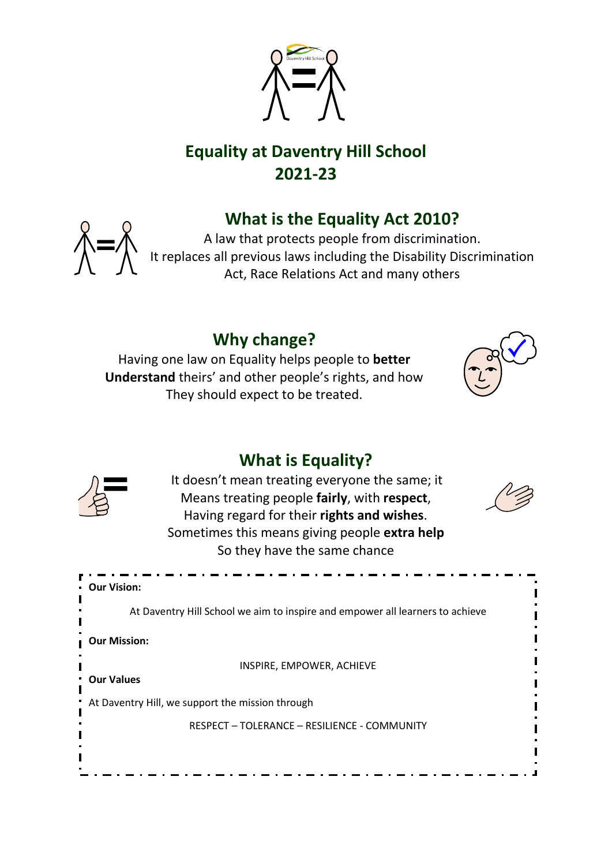

# **Equality at Daventry Hill School 2021-23**

# **What is the Equality Act 2010?**



A law that protects people from discrimination. It replaces all previous laws including the Disability Discrimination Act, Race Relations Act and many others

# **Why change?**

Having one law on Equality helps people to **better Understand** theirs' and other people's rights, and how They should expect to be treated.



# **What is Equality?**



It doesn't mean treating everyone the same; it Means treating people **fairly**, with **respect**, Having regard for their **rights and wishes**. Sometimes this means giving people **extra help** So they have the same chance



| • Our Vision:                                                                 |
|-------------------------------------------------------------------------------|
| At Daventry Hill School we aim to inspire and empower all learners to achieve |
| <b>Our Mission:</b>                                                           |
| INSPIRE, EMPOWER, ACHIEVE<br><b>Our Values</b>                                |
| * At Daventry Hill, we support the mission through                            |
| RESPECT - TOLERANCE - RESILIENCE - COMMUNITY                                  |
|                                                                               |
|                                                                               |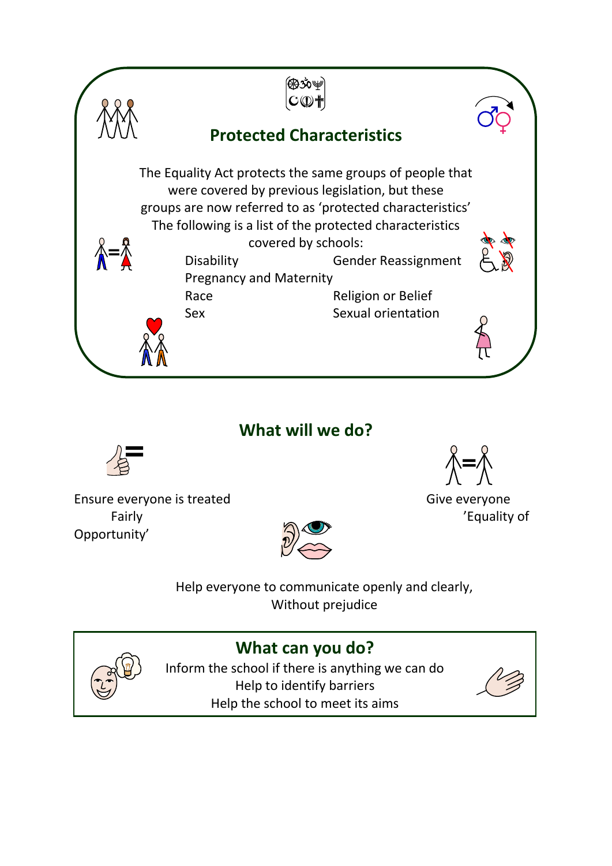

## **What will we do?**



Ensure everyone is treated Give everyone Fairly  $\overline{C}$  and  $\overline{C}$  are  $\overline{C}$  and  $\overline{C}$  are  $\overline{C}$  and  $\overline{C}$  are  $\overline{C}$  and  $\overline{C}$  are  $\overline{C}$  and  $\overline{C}$  are  $\overline{C}$  and  $\overline{C}$  are  $\overline{C}$  and  $\overline{C}$  are  $\overline{C}$  and  $\overline{C}$  are  $\overline{C}$ Opportunity'



Help everyone to communicate openly and clearly, Without prejudice



**What can you do?**

Inform the school if there is anything we can do Help to identify barriers Help the school to meet its aims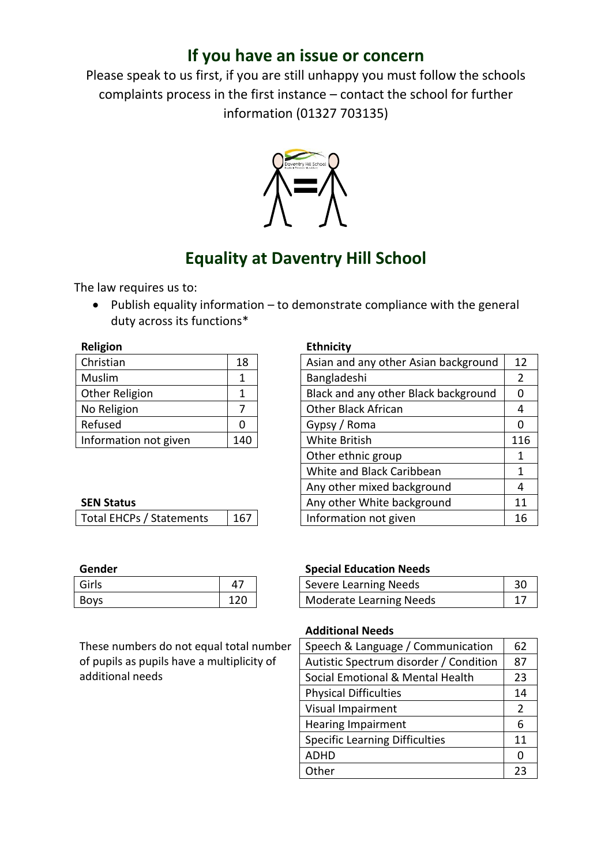## **If you have an issue or concern**

Please speak to us first, if you are still unhappy you must follow the schools complaints process in the first instance – contact the school for further information (01327 703135)



## **Equality at Daventry Hill School**

The law requires us to:

• Publish equality information – to demonstrate compliance with the general duty across its functions\*

| eligio |
|--------|
|        |

| Christian             | 18  |
|-----------------------|-----|
| Muslim                | 1   |
| <b>Other Religion</b> |     |
| No Religion           |     |
| Refused               | 0   |
| Information not given | 140 |

#### **Religion Ethnicity**

| Christian                | 18  | Asian and any other Asian background | 12  |
|--------------------------|-----|--------------------------------------|-----|
| Muslim                   | 1   | Bangladeshi                          | 2   |
| Other Religion           | 1   | Black and any other Black background | 0   |
| No Religion              | 7   | <b>Other Black African</b>           | 4   |
| Refused                  | 0   | Gypsy / Roma                         | 0   |
| Information not given    | 140 | White British                        | 116 |
|                          |     | Other ethnic group                   | 1   |
|                          |     | White and Black Caribbean            | 1   |
|                          |     | Any other mixed background           | 4   |
| <b>SEN Status</b>        |     | Any other White background           | 11  |
| Total EHCPs / Statements | 167 | Information not given                | 16  |
|                          |     |                                      |     |

| --------- |     |
|-----------|-----|
| Girls     |     |
| Boys      | 120 |

These numbers do not equal total number of pupils as pupils have a multiplicity of additional needs

#### **Gender Special Education Needs**

| Girls       |     | <b>Severe Learning Needs</b> |  |
|-------------|-----|------------------------------|--|
| <b>Boys</b> | 120 | Moderate Learning Needs      |  |

#### **Additional Needs**

| Speech & Language / Communication      | 62             |
|----------------------------------------|----------------|
| Autistic Spectrum disorder / Condition | 87             |
| Social Emotional & Mental Health       | 23             |
| <b>Physical Difficulties</b>           | 14             |
| Visual Impairment                      | $\overline{2}$ |
| <b>Hearing Impairment</b>              | 6              |
| <b>Specific Learning Difficulties</b>  | 11             |
| <b>ADHD</b>                            | 0              |
| Other                                  | つっ             |